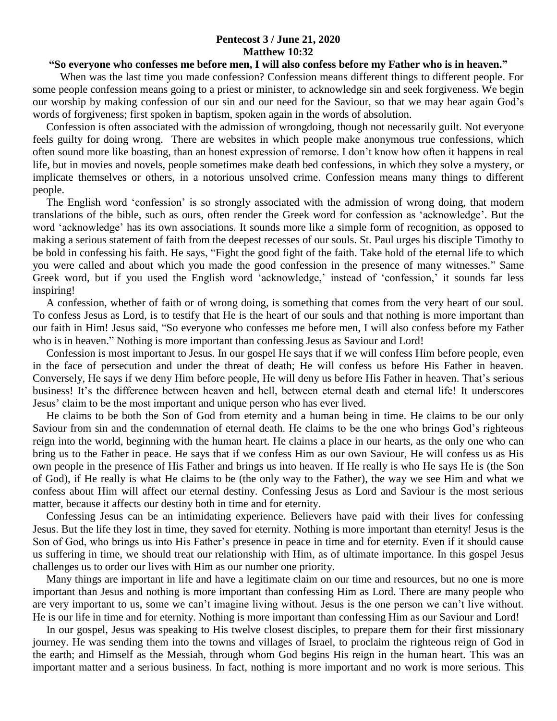## **Pentecost 3 / June 21, 2020 Matthew 10:32**

## **"So everyone who confesses me before men, I will also confess before my Father who is in heaven."**

 When was the last time you made confession? Confession means different things to different people. For some people confession means going to a priest or minister, to acknowledge sin and seek forgiveness. We begin our worship by making confession of our sin and our need for the Saviour, so that we may hear again God's words of forgiveness; first spoken in baptism, spoken again in the words of absolution.

 Confession is often associated with the admission of wrongdoing, though not necessarily guilt. Not everyone feels guilty for doing wrong. There are websites in which people make anonymous true confessions, which often sound more like boasting, than an honest expression of remorse. I don't know how often it happens in real life, but in movies and novels, people sometimes make death bed confessions, in which they solve a mystery, or implicate themselves or others, in a notorious unsolved crime. Confession means many things to different people.

 The English word 'confession' is so strongly associated with the admission of wrong doing, that modern translations of the bible, such as ours, often render the Greek word for confession as 'acknowledge'. But the word 'acknowledge' has its own associations. It sounds more like a simple form of recognition, as opposed to making a serious statement of faith from the deepest recesses of our souls. St. Paul urges his disciple Timothy to be bold in confessing his faith. He says, "Fight the good fight of the faith. Take hold of the eternal life to which you were called and about which you made the good confession in the presence of many witnesses." Same Greek word, but if you used the English word 'acknowledge,' instead of 'confession,' it sounds far less inspiring!

 A confession, whether of faith or of wrong doing, is something that comes from the very heart of our soul. To confess Jesus as Lord, is to testify that He is the heart of our souls and that nothing is more important than our faith in Him! Jesus said, "So everyone who confesses me before men, I will also confess before my Father who is in heaven." Nothing is more important than confessing Jesus as Saviour and Lord!

 Confession is most important to Jesus. In our gospel He says that if we will confess Him before people, even in the face of persecution and under the threat of death; He will confess us before His Father in heaven. Conversely, He says if we deny Him before people, He will deny us before His Father in heaven. That's serious business! It's the difference between heaven and hell, between eternal death and eternal life! It underscores Jesus' claim to be the most important and unique person who has ever lived.

 He claims to be both the Son of God from eternity and a human being in time. He claims to be our only Saviour from sin and the condemnation of eternal death. He claims to be the one who brings God's righteous reign into the world, beginning with the human heart. He claims a place in our hearts, as the only one who can bring us to the Father in peace. He says that if we confess Him as our own Saviour, He will confess us as His own people in the presence of His Father and brings us into heaven. If He really is who He says He is (the Son of God), if He really is what He claims to be (the only way to the Father), the way we see Him and what we confess about Him will affect our eternal destiny. Confessing Jesus as Lord and Saviour is the most serious matter, because it affects our destiny both in time and for eternity.

 Confessing Jesus can be an intimidating experience. Believers have paid with their lives for confessing Jesus. But the life they lost in time, they saved for eternity. Nothing is more important than eternity! Jesus is the Son of God, who brings us into His Father's presence in peace in time and for eternity. Even if it should cause us suffering in time, we should treat our relationship with Him, as of ultimate importance. In this gospel Jesus challenges us to order our lives with Him as our number one priority.

 Many things are important in life and have a legitimate claim on our time and resources, but no one is more important than Jesus and nothing is more important than confessing Him as Lord. There are many people who are very important to us, some we can't imagine living without. Jesus is the one person we can't live without. He is our life in time and for eternity. Nothing is more important than confessing Him as our Saviour and Lord!

 In our gospel, Jesus was speaking to His twelve closest disciples, to prepare them for their first missionary journey. He was sending them into the towns and villages of Israel, to proclaim the righteous reign of God in the earth; and Himself as the Messiah, through whom God begins His reign in the human heart. This was an important matter and a serious business. In fact, nothing is more important and no work is more serious. This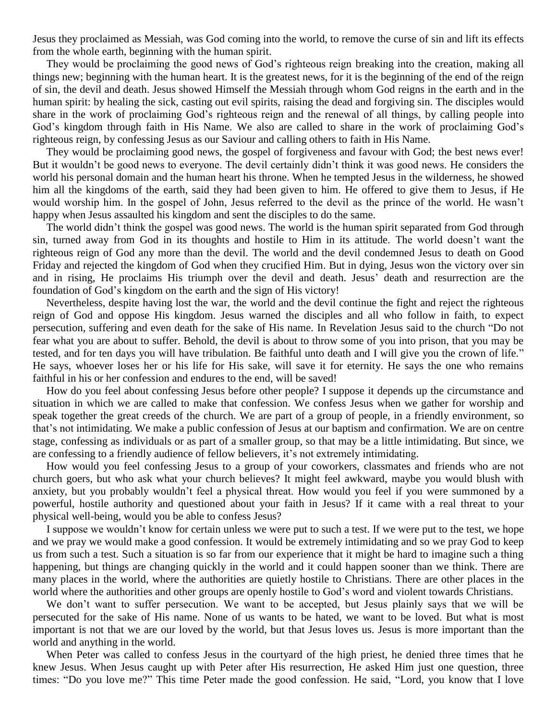Jesus they proclaimed as Messiah, was God coming into the world, to remove the curse of sin and lift its effects from the whole earth, beginning with the human spirit.

 They would be proclaiming the good news of God's righteous reign breaking into the creation, making all things new; beginning with the human heart. It is the greatest news, for it is the beginning of the end of the reign of sin, the devil and death. Jesus showed Himself the Messiah through whom God reigns in the earth and in the human spirit: by healing the sick, casting out evil spirits, raising the dead and forgiving sin. The disciples would share in the work of proclaiming God's righteous reign and the renewal of all things, by calling people into God's kingdom through faith in His Name. We also are called to share in the work of proclaiming God's righteous reign, by confessing Jesus as our Saviour and calling others to faith in His Name.

 They would be proclaiming good news, the gospel of forgiveness and favour with God; the best news ever! But it wouldn't be good news to everyone. The devil certainly didn't think it was good news. He considers the world his personal domain and the human heart his throne. When he tempted Jesus in the wilderness, he showed him all the kingdoms of the earth, said they had been given to him. He offered to give them to Jesus, if He would worship him. In the gospel of John, Jesus referred to the devil as the prince of the world. He wasn't happy when Jesus assaulted his kingdom and sent the disciples to do the same.

 The world didn't think the gospel was good news. The world is the human spirit separated from God through sin, turned away from God in its thoughts and hostile to Him in its attitude. The world doesn't want the righteous reign of God any more than the devil. The world and the devil condemned Jesus to death on Good Friday and rejected the kingdom of God when they crucified Him. But in dying, Jesus won the victory over sin and in rising, He proclaims His triumph over the devil and death. Jesus' death and resurrection are the foundation of God's kingdom on the earth and the sign of His victory!

 Nevertheless, despite having lost the war, the world and the devil continue the fight and reject the righteous reign of God and oppose His kingdom. Jesus warned the disciples and all who follow in faith, to expect persecution, suffering and even death for the sake of His name. In Revelation Jesus said to the church "Do not fear what you are about to suffer. Behold, the devil is about to throw some of you into prison, that you may be tested, and for ten days you will have tribulation. Be faithful unto death and I will give you the crown of life." He says, whoever loses her or his life for His sake, will save it for eternity. He says the one who remains faithful in his or her confession and endures to the end, will be saved!

 How do you feel about confessing Jesus before other people? I suppose it depends up the circumstance and situation in which we are called to make that confession. We confess Jesus when we gather for worship and speak together the great creeds of the church. We are part of a group of people, in a friendly environment, so that's not intimidating. We make a public confession of Jesus at our baptism and confirmation. We are on centre stage, confessing as individuals or as part of a smaller group, so that may be a little intimidating. But since, we are confessing to a friendly audience of fellow believers, it's not extremely intimidating.

 How would you feel confessing Jesus to a group of your coworkers, classmates and friends who are not church goers, but who ask what your church believes? It might feel awkward, maybe you would blush with anxiety, but you probably wouldn't feel a physical threat. How would you feel if you were summoned by a powerful, hostile authority and questioned about your faith in Jesus? If it came with a real threat to your physical well-being, would you be able to confess Jesus?

 I suppose we wouldn't know for certain unless we were put to such a test. If we were put to the test, we hope and we pray we would make a good confession. It would be extremely intimidating and so we pray God to keep us from such a test. Such a situation is so far from our experience that it might be hard to imagine such a thing happening, but things are changing quickly in the world and it could happen sooner than we think. There are many places in the world, where the authorities are quietly hostile to Christians. There are other places in the world where the authorities and other groups are openly hostile to God's word and violent towards Christians.

We don't want to suffer persecution. We want to be accepted, but Jesus plainly says that we will be persecuted for the sake of His name. None of us wants to be hated, we want to be loved. But what is most important is not that we are our loved by the world, but that Jesus loves us. Jesus is more important than the world and anything in the world.

 When Peter was called to confess Jesus in the courtyard of the high priest, he denied three times that he knew Jesus. When Jesus caught up with Peter after His resurrection, He asked Him just one question, three times: "Do you love me?" This time Peter made the good confession. He said, "Lord, you know that I love